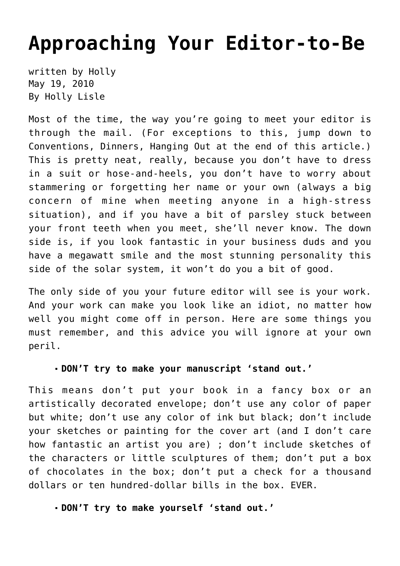# **[Approaching Your Editor-to-Be](https://hollylisle.com/approaching-your-editor-to-be/)**

written by Holly May 19, 2010 [By Holly Lisle](https://hollylisle.com)

Most of the time, the way you're going to meet your editor is through the mail. (For exceptions to this, jump down to Conventions, Dinners, Hanging Out at the end of this article.) This is pretty neat, really, because you don't have to dress in a suit or hose-and-heels, you don't have to worry about stammering or forgetting her name or your own (always a big concern of mine when meeting anyone in a high-stress situation), and if you have a bit of parsley stuck between your front teeth when you meet, she'll never know. The down side is, if you look fantastic in your business duds and you have a megawatt smile and the most stunning personality this side of the solar system, it won't do you a bit of good.

The only side of you your future editor will see is your work. And your work can make you look like an idiot, no matter how well you might come off in person. Here are some things you must remember, and this advice you will ignore at your own peril.

#### **DON'T try to make your manuscript 'stand out.'**

This means don't put your book in a fancy box or an artistically decorated envelope; don't use any color of paper but white; don't use any color of ink but black; don't include your sketches or painting for the cover art (and I don't care how fantastic an artist you are) ; don't include sketches of the characters or little sculptures of them; don't put a box of chocolates in the box; don't put a check for a thousand dollars or ten hundred-dollar bills in the box. EVER.

#### **DON'T try to make yourself 'stand out.'**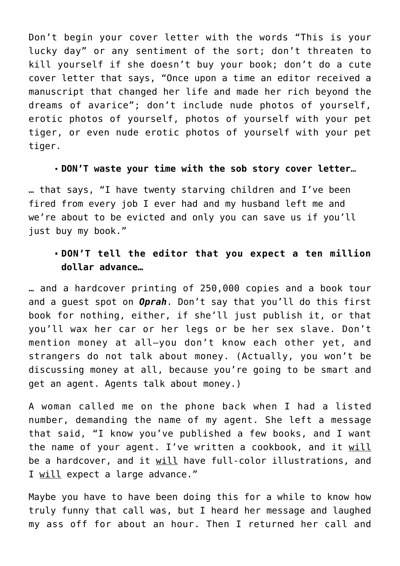Don't begin your cover letter with the words "This is your lucky day" or any sentiment of the sort; don't threaten to kill yourself if she doesn't buy your book; don't do a cute cover letter that says, "Once upon a time an editor received a manuscript that changed her life and made her rich beyond the dreams of avarice"; don't include nude photos of yourself, erotic photos of yourself, photos of yourself with your pet tiger, or even nude erotic photos of yourself with your pet tiger.

#### **DON'T waste your time with the sob story cover letter**…

… that says, "I have twenty starving children and I've been fired from every job I ever had and my husband left me and we're about to be evicted and only you can save us if you'll just buy my book."

## **DON'T tell the editor that you expect a ten million dollar advance…**

… and a hardcover printing of 250,000 copies and a book tour and a guest spot on *Oprah*. Don't say that you'll do this first book for nothing, either, if she'll just publish it, or that you'll wax her car or her legs or be her sex slave. Don't mention money at all—you don't know each other yet, and strangers do not talk about money. (Actually, you won't be discussing money at all, because you're going to be smart and get an agent. Agents talk about money.)

A woman called me on the phone back when I had a listed number, demanding the name of my agent. She left a message that said, "I know you've published a few books, and I want the name of your agent. I've written a cookbook, and it will be a hardcover, and it will have full-color illustrations, and I will expect a large advance."

Maybe you have to have been doing this for a while to know how truly funny that call was, but I heard her message and laughed my ass off for about an hour. Then I returned her call and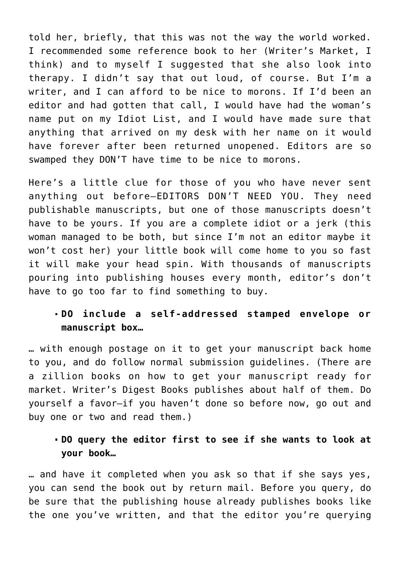told her, briefly, that this was not the way the world worked. I recommended some reference book to her (Writer's Market, I think) and to myself I suggested that she also look into therapy. I didn't say that out loud, of course. But I'm a writer, and I can afford to be nice to morons. If I'd been an editor and had gotten that call, I would have had the woman's name put on my Idiot List, and I would have made sure that anything that arrived on my desk with her name on it would have forever after been returned unopened. Editors are so swamped they DON'T have time to be nice to morons.

Here's a little clue for those of you who have never sent anything out before—EDITORS DON'T NEED YOU. They need publishable manuscripts, but one of those manuscripts doesn't have to be yours. If you are a complete idiot or a jerk (this woman managed to be both, but since I'm not an editor maybe it won't cost her) your little book will come home to you so fast it will make your head spin. With thousands of manuscripts pouring into publishing houses every month, editor's don't have to go too far to find something to buy.

## **DO include a self-addressed stamped envelope or manuscript box…**

… with enough postage on it to get your manuscript back home to you, and do follow normal submission guidelines. (There are a zillion books on how to get your manuscript ready for market. Writer's Digest Books publishes about half of them. Do yourself a favor—if you haven't done so before now, go out and buy one or two and read them.)

## **DO query the editor first to see if she wants to look at your book…**

… and have it completed when you ask so that if she says yes, you can send the book out by return mail. Before you query, do be sure that the publishing house already publishes books like the one you've written, and that the editor you're querying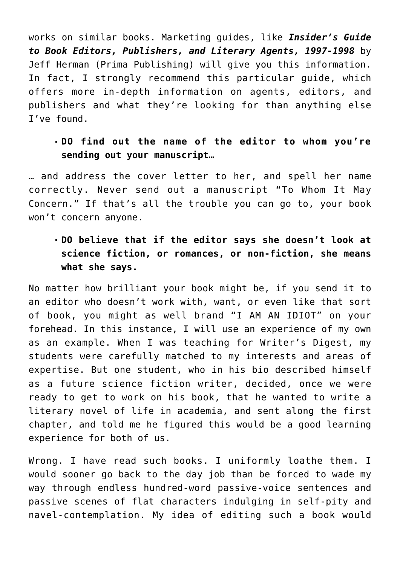works on similar books. Marketing guides, like *Insider's Guide to Book Editors, Publishers, and Literary Agents, 1997-1998* by Jeff Herman (Prima Publishing) will give you this information. In fact, I strongly recommend this particular guide, which offers more in-depth information on agents, editors, and publishers and what they're looking for than anything else I've found.

# **DO find out the name of the editor to whom you're sending out your manuscript…**

… and address the cover letter to her, and spell her name correctly. Never send out a manuscript "To Whom It May Concern." If that's all the trouble you can go to, your book won't concern anyone.

# **DO believe that if the editor says she doesn't look at science fiction, or romances, or non-fiction, she means what she says.**

No matter how brilliant your book might be, if you send it to an editor who doesn't work with, want, or even like that sort of book, you might as well brand "I AM AN IDIOT" on your forehead. In this instance, I will use an experience of my own as an example. When I was teaching for Writer's Digest, my students were carefully matched to my interests and areas of expertise. But one student, who in his bio described himself as a future science fiction writer, decided, once we were ready to get to work on his book, that he wanted to write a literary novel of life in academia, and sent along the first chapter, and told me he figured this would be a good learning experience for both of us.

Wrong. I have read such books. I uniformly loathe them. I would sooner go back to the day job than be forced to wade my way through endless hundred-word passive-voice sentences and passive scenes of flat characters indulging in self-pity and navel-contemplation. My idea of editing such a book would